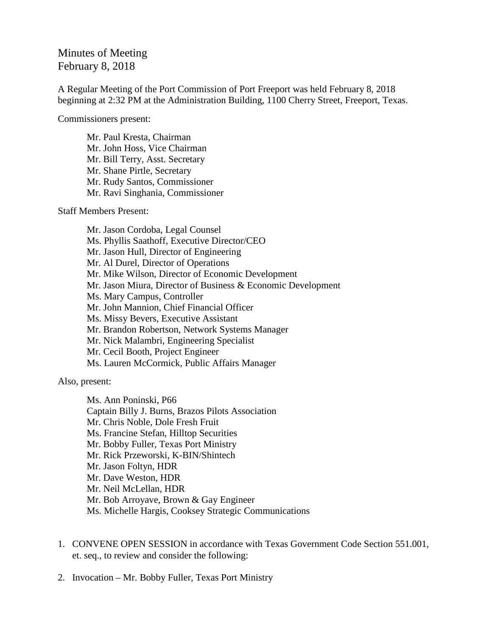## Minutes of Meeting February 8, 2018

A Regular Meeting of the Port Commission of Port Freeport was held February 8, 2018 beginning at 2:32 PM at the Administration Building, 1100 Cherry Street, Freeport, Texas.

Commissioners present:

Mr. Paul Kresta, Chairman Mr. John Hoss, Vice Chairman Mr. Bill Terry, Asst. Secretary Mr. Shane Pirtle, Secretary Mr. Rudy Santos, Commissioner Mr. Ravi Singhania, Commissioner

Staff Members Present:

Mr. Jason Cordoba, Legal Counsel Ms. Phyllis Saathoff, Executive Director/CEO Mr. Jason Hull, Director of Engineering Mr. Al Durel, Director of Operations Mr. Mike Wilson, Director of Economic Development Mr. Jason Miura, Director of Business & Economic Development Ms. Mary Campus, Controller Mr. John Mannion, Chief Financial Officer Ms. Missy Bevers, Executive Assistant Mr. Brandon Robertson, Network Systems Manager Mr. Nick Malambri, Engineering Specialist Mr. Cecil Booth, Project Engineer Ms. Lauren McCormick, Public Affairs Manager

Also, present:

Ms. Ann Poninski, P66 Captain Billy J. Burns, Brazos Pilots Association Mr. Chris Noble, Dole Fresh Fruit Ms. Francine Stefan, Hilltop Securities Mr. Bobby Fuller, Texas Port Ministry Mr. Rick Przeworski, K-BIN/Shintech Mr. Jason Foltyn, HDR Mr. Dave Weston, HDR Mr. Neil McLellan, HDR Mr. Bob Arroyave, Brown & Gay Engineer Ms. Michelle Hargis, Cooksey Strategic Communications

- 1. CONVENE OPEN SESSION in accordance with Texas Government Code Section 551.001, et. seq., to review and consider the following:
- 2. Invocation Mr. Bobby Fuller, Texas Port Ministry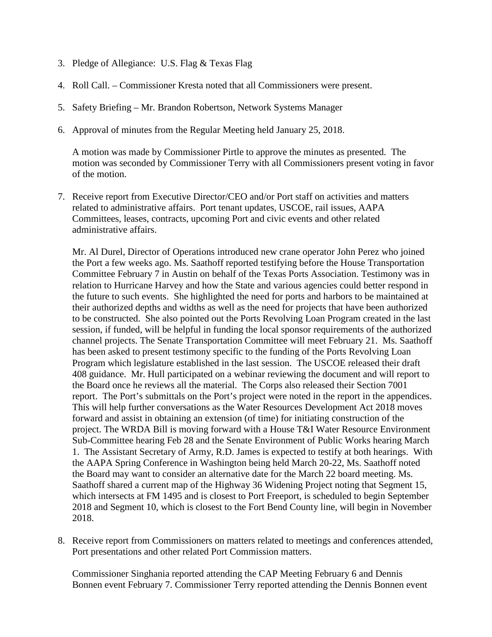- 3. Pledge of Allegiance: U.S. Flag & Texas Flag
- 4. Roll Call. Commissioner Kresta noted that all Commissioners were present.
- 5. Safety Briefing Mr. Brandon Robertson, Network Systems Manager
- 6. Approval of minutes from the Regular Meeting held January 25, 2018.

A motion was made by Commissioner Pirtle to approve the minutes as presented. The motion was seconded by Commissioner Terry with all Commissioners present voting in favor of the motion.

7. Receive report from Executive Director/CEO and/or Port staff on activities and matters related to administrative affairs. Port tenant updates, USCOE, rail issues, AAPA Committees, leases, contracts, upcoming Port and civic events and other related administrative affairs.

Mr. Al Durel, Director of Operations introduced new crane operator John Perez who joined the Port a few weeks ago. Ms. Saathoff reported testifying before the House Transportation Committee February 7 in Austin on behalf of the Texas Ports Association. Testimony was in relation to Hurricane Harvey and how the State and various agencies could better respond in the future to such events. She highlighted the need for ports and harbors to be maintained at their authorized depths and widths as well as the need for projects that have been authorized to be constructed. She also pointed out the Ports Revolving Loan Program created in the last session, if funded, will be helpful in funding the local sponsor requirements of the authorized channel projects. The Senate Transportation Committee will meet February 21. Ms. Saathoff has been asked to present testimony specific to the funding of the Ports Revolving Loan Program which legislature established in the last session. The USCOE released their draft 408 guidance. Mr. Hull participated on a webinar reviewing the document and will report to the Board once he reviews all the material. The Corps also released their Section 7001 report. The Port's submittals on the Port's project were noted in the report in the appendices. This will help further conversations as the Water Resources Development Act 2018 moves forward and assist in obtaining an extension (of time) for initiating construction of the project. The WRDA Bill is moving forward with a House T&I Water Resource Environment Sub-Committee hearing Feb 28 and the Senate Environment of Public Works hearing March 1. The Assistant Secretary of Army, R.D. James is expected to testify at both hearings. With the AAPA Spring Conference in Washington being held March 20-22, Ms. Saathoff noted the Board may want to consider an alternative date for the March 22 board meeting. Ms. Saathoff shared a current map of the Highway 36 Widening Project noting that Segment 15, which intersects at FM 1495 and is closest to Port Freeport, is scheduled to begin September 2018 and Segment 10, which is closest to the Fort Bend County line, will begin in November 2018.

8. Receive report from Commissioners on matters related to meetings and conferences attended, Port presentations and other related Port Commission matters.

Commissioner Singhania reported attending the CAP Meeting February 6 and Dennis Bonnen event February 7. Commissioner Terry reported attending the Dennis Bonnen event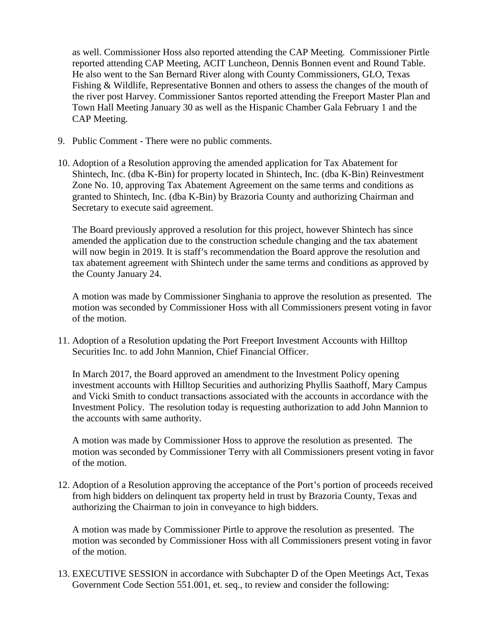as well. Commissioner Hoss also reported attending the CAP Meeting. Commissioner Pirtle reported attending CAP Meeting, ACIT Luncheon, Dennis Bonnen event and Round Table. He also went to the San Bernard River along with County Commissioners, GLO, Texas Fishing & Wildlife, Representative Bonnen and others to assess the changes of the mouth of the river post Harvey. Commissioner Santos reported attending the Freeport Master Plan and Town Hall Meeting January 30 as well as the Hispanic Chamber Gala February 1 and the CAP Meeting.

- 9. Public Comment There were no public comments.
- 10. Adoption of a Resolution approving the amended application for Tax Abatement for Shintech, Inc. (dba K-Bin) for property located in Shintech, Inc. (dba K-Bin) Reinvestment Zone No. 10, approving Tax Abatement Agreement on the same terms and conditions as granted to Shintech, Inc. (dba K-Bin) by Brazoria County and authorizing Chairman and Secretary to execute said agreement.

The Board previously approved a resolution for this project, however Shintech has since amended the application due to the construction schedule changing and the tax abatement will now begin in 2019. It is staff's recommendation the Board approve the resolution and tax abatement agreement with Shintech under the same terms and conditions as approved by the County January 24.

A motion was made by Commissioner Singhania to approve the resolution as presented. The motion was seconded by Commissioner Hoss with all Commissioners present voting in favor of the motion.

11. Adoption of a Resolution updating the Port Freeport Investment Accounts with Hilltop Securities Inc. to add John Mannion, Chief Financial Officer.

In March 2017, the Board approved an amendment to the Investment Policy opening investment accounts with Hilltop Securities and authorizing Phyllis Saathoff, Mary Campus and Vicki Smith to conduct transactions associated with the accounts in accordance with the Investment Policy. The resolution today is requesting authorization to add John Mannion to the accounts with same authority.

A motion was made by Commissioner Hoss to approve the resolution as presented. The motion was seconded by Commissioner Terry with all Commissioners present voting in favor of the motion.

12. Adoption of a Resolution approving the acceptance of the Port's portion of proceeds received from high bidders on delinquent tax property held in trust by Brazoria County, Texas and authorizing the Chairman to join in conveyance to high bidders.

A motion was made by Commissioner Pirtle to approve the resolution as presented. The motion was seconded by Commissioner Hoss with all Commissioners present voting in favor of the motion.

13. EXECUTIVE SESSION in accordance with Subchapter D of the Open Meetings Act, Texas Government Code Section 551.001, et. seq., to review and consider the following: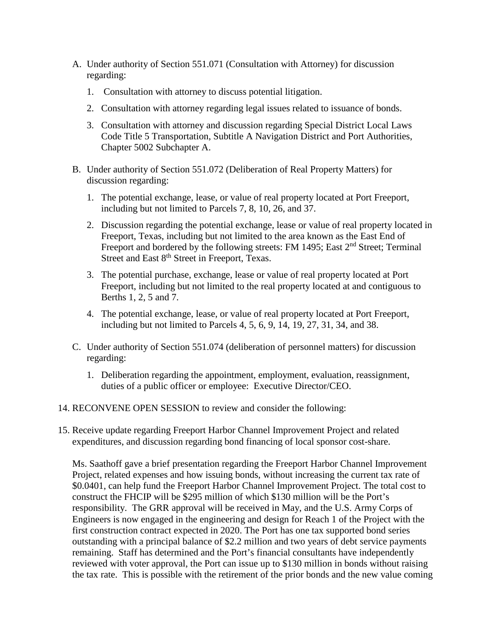- A. Under authority of Section 551.071 (Consultation with Attorney) for discussion regarding:
	- 1. Consultation with attorney to discuss potential litigation.
	- 2. Consultation with attorney regarding legal issues related to issuance of bonds.
	- 3. Consultation with attorney and discussion regarding Special District Local Laws Code Title 5 Transportation, Subtitle A Navigation District and Port Authorities, Chapter 5002 Subchapter A.
- B. Under authority of Section 551.072 (Deliberation of Real Property Matters) for discussion regarding:
	- 1. The potential exchange, lease, or value of real property located at Port Freeport, including but not limited to Parcels 7, 8, 10, 26, and 37.
	- 2. Discussion regarding the potential exchange, lease or value of real property located in Freeport, Texas, including but not limited to the area known as the East End of Freeport and bordered by the following streets: FM 1495; East 2<sup>nd</sup> Street; Terminal Street and East 8<sup>th</sup> Street in Freeport, Texas.
	- 3. The potential purchase, exchange, lease or value of real property located at Port Freeport, including but not limited to the real property located at and contiguous to Berths 1, 2, 5 and 7.
	- 4. The potential exchange, lease, or value of real property located at Port Freeport, including but not limited to Parcels 4, 5, 6, 9, 14, 19, 27, 31, 34, and 38.
- C. Under authority of Section 551.074 (deliberation of personnel matters) for discussion regarding:
	- 1. Deliberation regarding the appointment, employment, evaluation, reassignment, duties of a public officer or employee: Executive Director/CEO.
- 14. RECONVENE OPEN SESSION to review and consider the following:
- 15. Receive update regarding Freeport Harbor Channel Improvement Project and related expenditures, and discussion regarding bond financing of local sponsor cost-share.

Ms. Saathoff gave a brief presentation regarding the Freeport Harbor Channel Improvement Project, related expenses and how issuing bonds, without increasing the current tax rate of \$0.0401, can help fund the Freeport Harbor Channel Improvement Project. The total cost to construct the FHCIP will be \$295 million of which \$130 million will be the Port's responsibility. The GRR approval will be received in May, and the U.S. Army Corps of Engineers is now engaged in the engineering and design for Reach 1 of the Project with the first construction contract expected in 2020. The Port has one tax supported bond series outstanding with a principal balance of \$2.2 million and two years of debt service payments remaining. Staff has determined and the Port's financial consultants have independently reviewed with voter approval, the Port can issue up to \$130 million in bonds without raising the tax rate. This is possible with the retirement of the prior bonds and the new value coming